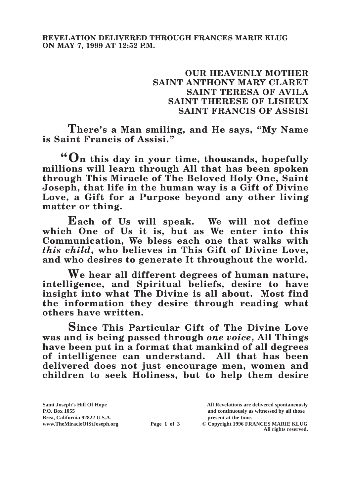## **OUR HEAVENLY MOTHER SAINT ANTHONY MARY CLARET SAINT TERESA OF AVILA SAINT THERESE OF LISIEUX SAINT FRANCIS OF ASSISI**

**There's a Man smiling, and He says, "My Name is Saint Francis of Assisi."**

**"On this day in your time, thousands, hopefully millions will learn through All that has been spoken through This Miracle of The Beloved Holy One, Saint Joseph, that life in the human way is a Gift of Divine Love, a Gift for a Purpose beyond any other living matter or thing.**

**Each of Us will speak. We will not define which One of Us it is, but as We enter into this Communication, We bless each one that walks with**  *this child***, who believes in This Gift of Divine Love, and who desires to generate It throughout the world.**

**We hear all different degrees of human nature, intelligence, and Spiritual beliefs, desire to have insight into what The Divine is all about. Most find the information they desire through reading what others have written.**

**Since This Particular Gift of The Divine Love was and is being passed through** *one voice***, All Things have been put in a format that mankind of all degrees of intelligence can understand. All that has been delivered does not just encourage men, women and children to seek Holiness, but to help them desire** 

**Saint Joseph's Hill Of Hope All Revelations are delivered spontaneously P.O. Box 1055 and continuously as witnessed by all those** 

**Page 1 of 3** © Copyright 1996 FRANCES MARIE KLUG **All rights reserved.**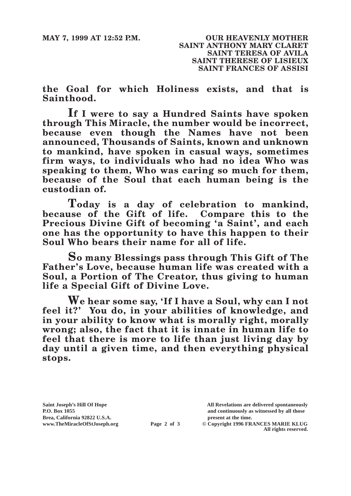**the Goal for which Holiness exists, and that is Sainthood.**

**If I were to say a Hundred Saints have spoken through This Miracle, the number would be incorrect, because even though the Names have not been announced, Thousands of Saints, known and unknown to mankind, have spoken in casual ways, sometimes firm ways, to individuals who had no idea Who was speaking to them, Who was caring so much for them, because of the Soul that each human being is the custodian of.**

**Today is a day of celebration to mankind, because of the Gift of life. Compare this to the Precious Divine Gift of becoming 'a Saint', and each one has the opportunity to have this happen to their Soul Who bears their name for all of life.**

**So many Blessings pass through This Gift of The Father's Love, because human life was created with a Soul, a Portion of The Creator, thus giving to human life a Special Gift of Divine Love.**

**We hear some say, 'If I have a Soul, why can I not feel it?' You do, in your abilities of knowledge, and in your ability to know what is morally right, morally wrong; also, the fact that it is innate in human life to feel that there is more to life than just living day by day until a given time, and then everything physical stops.**

Brea, California 92822 U.S.A.<br>
www.TheMiracleOfStJoseph.org<br> **Page 2 of 3** © Copyright 1996 FR.

**Saint Joseph's Hill Of Hope All Revelations are delivered spontaneously P.O. Box 1055 and continuously as witnessed by all those** 

**Page 2 of 3** © Copyright 1996 FRANCES MARIE KLUG **All rights reserved.**